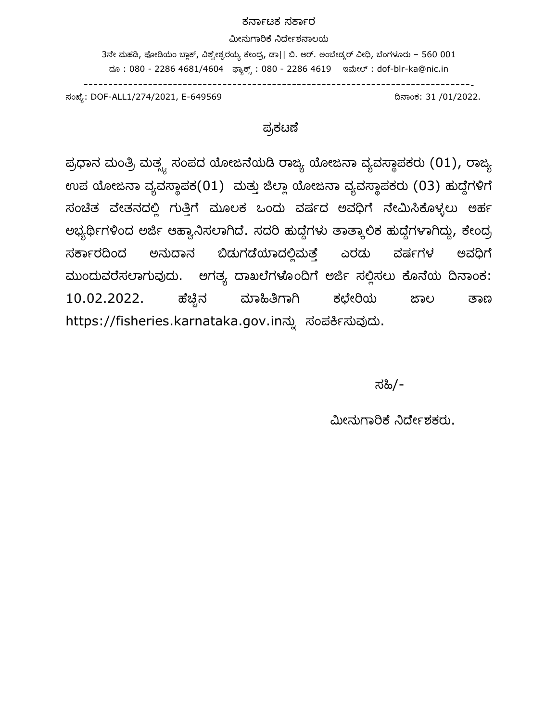#### ಕರ್ನಾಟಕ ಸರ್ನಾರ

#### ಮೀನುಗನರಿರ್ೆ ನಿರೆೀಾಶರ್ನಲಯ

 $3$ ನೇ ಮಹಡಿ, ಪೋಡಿಯಂ ಬ್ಲಾಕ್, ವಿಶ್ವೇಶ್ವರಯ್ಯ ಕೇಂದ್ರ, ಡಾ|| ಬಿ. ಆರ್. ಅಂಬೇಡ್ಕರ್ ವೀಧಿ, ಬೆಂಗಳೂರು – 560 001 ದ್ೂ : 080 - 2286 4681/4604 ಫ್ನಯಕ್್ : 080 - 2286 4619 ಇಮೀಲ್ : dof-blr-ka@nic.in

-------------------------------------------------------------------------------

ಸಂಖ್ೆಯ: DOF-ALL1/274/2021, E-649569 ದಿರ್ನಂಕ: 31 /01/2022.

### ಪ್ರಕಟಣೆ

ಪ್ರಧಾನ ಮಂತ್ರಿ ಮತ್ಸ್ಯ ಸಂಪದ ಯೋಜನೆಯಡಿ ರಾಜ್ಯ ಯೋಜನಾ ವ್ಯವಸ್ಥಾಪಕರು (01), ರಾಜ್ಯ ಉಪ ಯೋಜನಾ ವ್ಯವಸ್ಥಾಪಕ(01) ಮತ್ತು ಜಿಲ್ಲಾ ಯೋಜನಾ ವ್ಯವಸ್ಥಾಪಕರು (03) ಹುದ್ದೆಗಳಿಗೆ ಸಂಚಿತ ವೇತನದಲ್ಲಿ ಗುತ್ತಿಗೆ ಮೂಲಕ ಒಂದು ವರ್ಷದ ಅವಧಿಗೆ ನೇಮಿಸಿಕೊಳ್ಳಲು ಅರ್ಹ ಅಭ್ಯರ್ಥಿಗಳಿಂದ ಅರ್ಜಿ ಆಹ್ಯಾನಿಸಲಾಗಿದೆ. ಸದರಿ ಹುದ್ದೆಗಳು ತಾತ್ಕಾಲಿಕ ಹುದ್ದೆಗಳಾಗಿದ್ದು, ಕೇಂದ್ರ ಸರ್ಕಾರದಿಂದ ಅನುದಾನ ಬಿಡುಗಡೆಯಾದಲ್ಲಿಮತ್ತೆ ಎರಡು ವರ್ಷಗಳ ಅವಧಿಗೆ ಮುಂದುವರೆಸಲಾಗುವುದು. ಅಗತ್ಯ ದಾಖಲೆಗಳೊಂದಿಗೆ ಅರ್ಜಿ ಸಲ್ಲಿಸಲು ಕೊನೆಯ ದಿನಾಂಕ: 10.02.2022. ಹ್ೆಚಿಿನ ಮನಹಿತ್ರಗನಗಿ ಕಛೆೀರಿಯ ಜನಲ ತನಣ https://fisheries.karnataka.gov.inನ್ನು ಸಂಪರ್ಕಿಸುವುದು.

ಸಹಿ/-

ಮೀನುಗನರಿರ್ೆ ನಿರೆೀಾಶಕರು.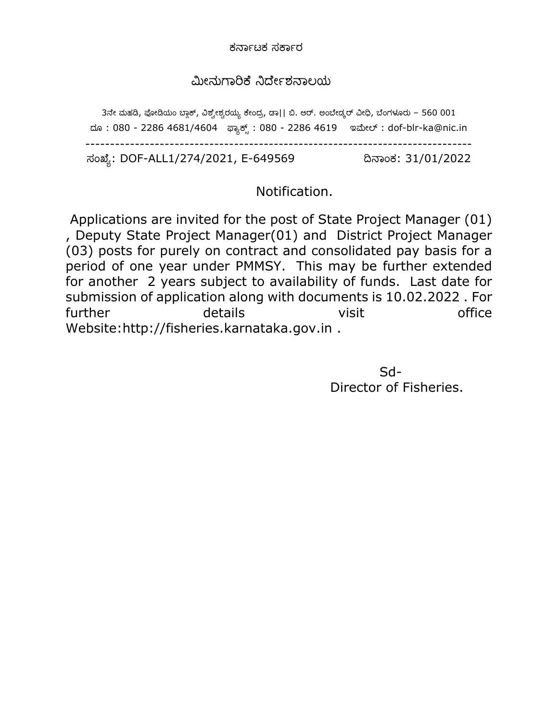ಕರ್ನಾಟಕ ಸರ್ನಾರ

## ಮೀನುಗನರಿರ್ೆ ನಿರೆೀಾಶರ್ನಲಯ

3ನೇ ಮಹಡಿ, ಪೋಡಿಯಂ ಬ್ಲಾಕ್, ವಿಶ್ವೇಶ್ವರಯ್ಯ ಕೇಂದ್ರ, ಡಾ|| ಬಿ. ಆರ್. ಅಂಬೇಡ್ಕರ್ ವೀಧಿ, ಬೆಂಗಳೂರು – 560 001 ದೂ: 080 - 2286 4681/4604 ಫ್ಯಾಕ್ಸ್ : 080 - 2286 4619 ಇಮೇಲ್ : dof-blr-ka@nic.in ------------------------------------------------------------------------------ ಸಂಖ್ೆಯ: DOF-ALL1/274/2021, E-649569 ದಿರ್ನಂಕ: 31/01/2022

# Notification.

Applications are invited for the post of State Project Manager (01) , Deputy State Project Manager(01) and District Project Manager (03) posts for purely on contract and consolidated pay basis for a period of one year under PMMSY. This may be further extended for another 2 years subject to availability of funds. Last date for submission of application along with documents is 10.02.2022 . For further details visit office Website:http://fisheries.karnataka.gov.in .

<u>Sd-Barrel and Sdeutsche Sdeutsche Sdeutsche Sdeutsche Sdeutsche Sdeutsche Sdeutsche Sdeutsche Sdeutsche Sdeutsche Sdeutsche Sdeutsche Sdeutsche Sdeutsche Sdeutsche Sdeutsche Sdeutsche Sdeutsche Sdeutsche Sdeutsche Sdeutsc</u> Director of Fisheries.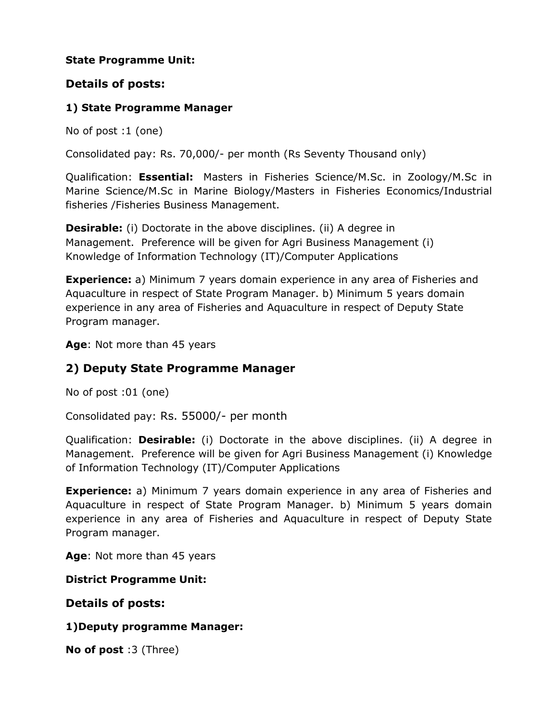### **State Programme Unit:**

## **Details of posts:**

### **1) State Programme Manager**

No of post :1 (one)

Consolidated pay: Rs. 70,000/- per month (Rs Seventy Thousand only)

Qualification: **Essential:** Masters in Fisheries Science/M.Sc. in Zoology/M.Sc in Marine Science/M.Sc in Marine Biology/Masters in Fisheries Economics/Industrial fisheries /Fisheries Business Management.

**Desirable:** (i) Doctorate in the above disciplines. (ii) A degree in Management. Preference will be given for Agri Business Management (i) Knowledge of Information Technology (IT)/Computer Applications

**Experience:** a) Minimum 7 years domain experience in any area of Fisheries and Aquaculture in respect of State Program Manager. b) Minimum 5 years domain experience in any area of Fisheries and Aquaculture in respect of Deputy State Program manager.

**Age**: Not more than 45 years

## **2) Deputy State Programme Manager**

No of post :01 (one)

Consolidated pay: Rs. 55000/- per month

Qualification: **Desirable:** (i) Doctorate in the above disciplines. (ii) A degree in Management. Preference will be given for Agri Business Management (i) Knowledge of Information Technology (IT)/Computer Applications

**Experience:** a) Minimum 7 years domain experience in any area of Fisheries and Aquaculture in respect of State Program Manager. b) Minimum 5 years domain experience in any area of Fisheries and Aquaculture in respect of Deputy State Program manager.

**Age**: Not more than 45 years

**District Programme Unit:**

**Details of posts:**

#### **1)Deputy programme Manager:**

**No of post** :3 (Three)